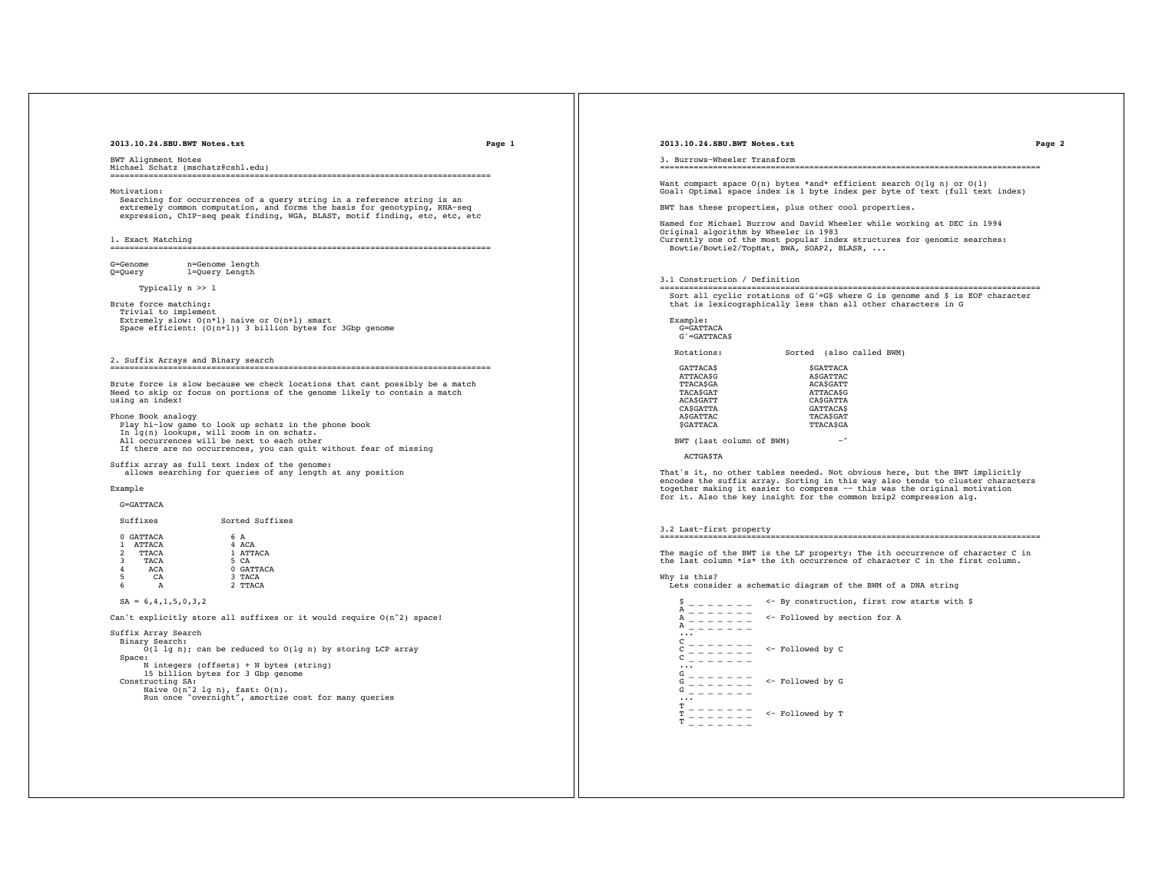**2013.10.24.SBU.BWT Notes.txt Page 1**

BWT Alignment Notes Michael Schatz (mschatz@cshl.edu) ===============================================================================

Motivation:

 Searching for occurrences of a query string in a reference string is an extremely common computation, and forms the basis for genotyping, RNA−seq expression, ChIP−seq peak finding, WGA, BLAST, motif finding, etc, etc, etc

1. Exact Matching

===============================================================================

G=Genome n=Genome length<br>Q=Query 1=Query Length l=Query Length

Typically n >> l

Brute force matching: Trivial to implement

Extremely slow:  $O(n*1)$  naive or  $O(n+1)$  smart Space efficient: (O(n+l)) 3 billion bytes for 3Gbp genome

2. Suffix Arrays and Binary search ===============================================================================

Brute force is slow because we check locations that cant possibly be a match Need to skip or focus on portions of the genome likely to contain a match using an index!

Phone Book analogy

 Play hi−low game to look up schatz in the phone book In lg(n) lookups, will zoom in on schatz. All occurrences will be next to each other If there are no occurrences, you can quit without fear of missing

Suffix array as full text index of the genome: allows searching for queries of any length at any position

#### Example

G=GATTACA

| Suffixes  |     | Sorted Suffixes |
|-----------|-----|-----------------|
| 0 GATTACA | 6 A |                 |

| $\mathcal{L}$ | <b>ATTACA</b><br><b>TTACA</b> | 4 ACA<br>1 ATTACA |
|---------------|-------------------------------|-------------------|
| 3             | <b>TACA</b>                   | 5 CA              |
| 4             | ACA                           | 0 GATTACA         |
| 5             | C <sub>A</sub>                | 3 TACA            |
| 6             |                               | 2 TTACA           |

 $SA = 6, 4, 1, 5, 0, 3, 2$ 

Can't explicitly store all suffixes or it would require  $O(n^2)$  space!

Suffix Array Search Binary Search: O(l lg n); can be reduced to O(lg n) by storing LCP array Space: N integers (offsets) + N bytes (string) 15 billion bytes for 3 Gbp genome Constructing SA: Naive O(n^2 lg n), fast: O(n). Run once "overnight", amortize cost for many queries

#### **2013.10.24.SBU.BWT Notes.txt Page 2**

3. Burrows−Wheeler Transform

===============================================================================

Want compact space O(n) bytes \*and\* efficient search O(lg n) or O(l) Goal: Optimal space index is 1 byte index per byte of text (full text index)

BWT has these properties, plus other cool properties.

Named for Michael Burrow and David Wheeler while working at DEC in 1994 Original algorithm by Wheeler in 1983 Currently one of the most popular index structures for genomic searches: Bowtie/Bowtie2/TopHat, BWA, SOAP2, BLASR, ...

### 3.1 Construction / Definition

=============================================================================== Sort all cyclic rotations of G'=G\$ where G is genome and \$ is EOF character that is lexicographically less than all other characters in G

### Example: G=GATTACA G'=GATTACA\$

Rotations: Sorted (also called BWM)

| <b>GATTACAS</b> | <b>SGATTACA</b> |
|-----------------|-----------------|
| <b>ATTACASG</b> | <b>ASGATTAC</b> |
| <b>TTACASGA</b> | <b>ACASGATT</b> |
| TACASGAT        | <b>ATTACASG</b> |
| <b>ACASGATT</b> | CASGATTA        |
| CASGATTA        | <b>GATTACAS</b> |
| <b>ASGATTAC</b> | TACASGAT        |
| <b>SGATTACA</b> | <b>TTACASGA</b> |
|                 |                 |

BWT (last column of BWM) −^

ACTGA\$TA

That's it, no other tables needed. Not obvious here, but the BWT implicitly<br>encodes the suffix array. Sorting in this way also tends to cluster characters<br>together making it easier to compress -- this was the original moti

3.2 Last−first property

===============================================================================

The magic of the BWT is the LF property: The ith occurrence of character C in the last column \*is\* the ith occurrence of character C in the first column.

Why is this? Lets consider a schematic diagram of the BWM of a DNA string  $\frac{1}{2}$  = - - - - - <- By construction, first row starts with \$

```
A _______<br>
A _______<br>
A _______<br>
C ________<br>
C ________ <- Followed by C<br>
C ________<br>
... ------
G _ _ _ _ _ _ _<br>G _ _ _ _ _ _ _ _ <- Followed by G<br>G _ _ _ _ _ _ _
      ^{\mathrm{T}} - - - - - - -T = T = T = T \leq Followed by T
```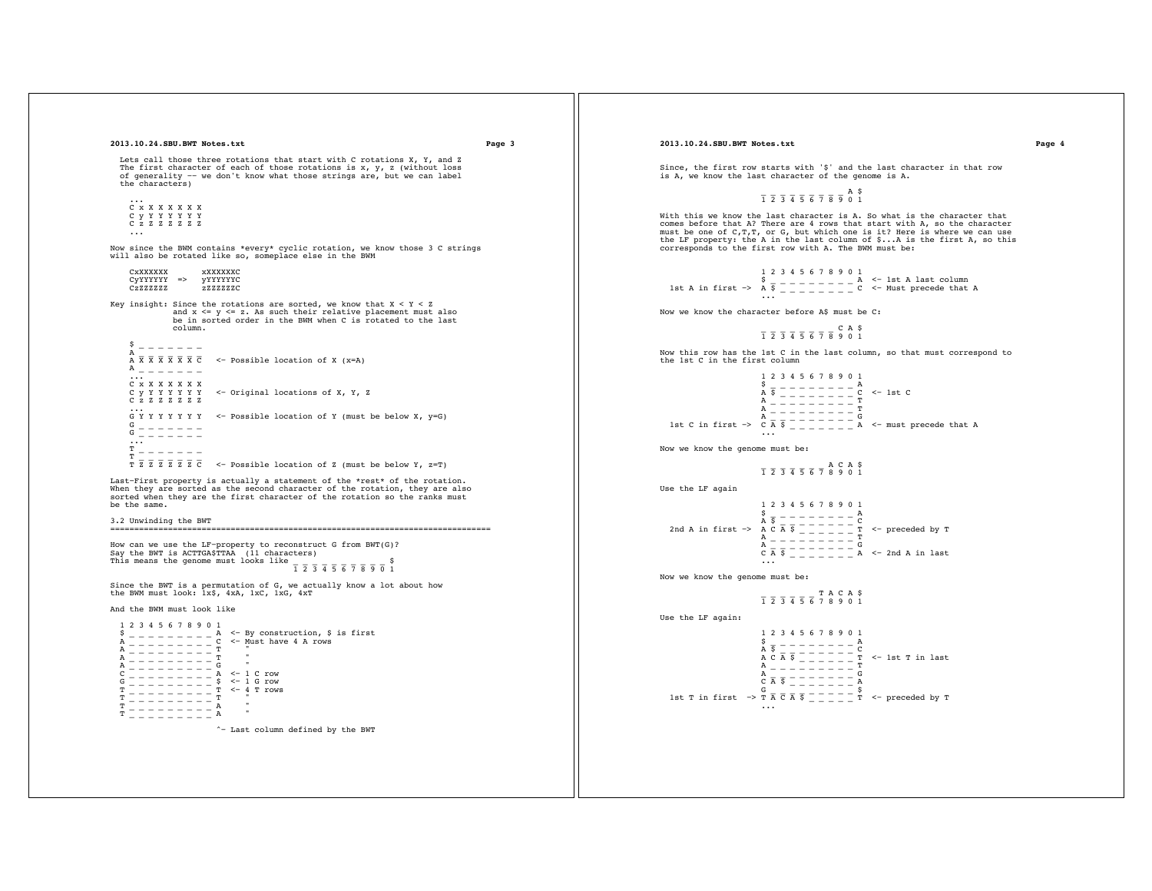```
2013.10.24.SBU.BWT Notes.txt Page 3
     Lets call those three rotations that start with C rotations X, Y, and Z
  The first character of each of those rotations is x, y, z (without loss
 of generality −− we don't know what those strings are, but we can label
    the characters)
  ...
 C x X X X X X X 
       C y Y Y Y Y Y Y 
       C z Z Z Z Z Z Z 

Now since the BWM contains *every* cyclic rotation, we know those 3 C strings
will also be rotated like so, someplace else in the BWM
  CxXXXXXX xXXXXXXC 
 CyYYYYYY => yYYYYYYC
 CzZZZZZZ zZZZZZZC
 Key insight: Since the rotations are sorted, we know that X < Y < Z<br>and x < = y < = z. As such their relative placement must also
                      be in sorted order in the BWM when C is rotated to the last
                       column.
      \frac{5}{2} - - - - - -
 A = - - - - - -<br>
A \overline{X} \overline{X} \overline{X} \overline{X} \overline{X} \overline{X} \overline{C} <- Possible location of X (x=A)
      A _ _ _ _ _ _ _
       ...
 C x X X X X X X<br>C y Y Y Y Y Y <- Original locations of X, Y, Z<br>C z Z Z Z Z Z
  ...
 G Y Y Y Y Y Y Y <− Possible location of Y (must be below X, y=G)
  G _ _ _ _ _ _ _ 
 G _ _ _ _ _ _ _ 
 ...
 T - - - - - -\frac{1}{T} \overline{z} \overline{z} \overline{z} \overline{z} \overline{z} \overline{c} \overline{z} \overline{z} \overline{c} \overline{z} \overline{z} \overline{z} \overline{c} \overline{z} \overline{z} \overline{z} \overline{z} \overline{z} \overline{z} \overline{z} \overline{z} \overline{z} \overline{z} \overlineLast−First property is actually a statement of the *rest* of the rotation. 
 When they are sorted as the second character of the rotation, they are also
sorted when they are the first character of the rotation so the ranks must
be the same.
3.2 Unwinding the BWT
                         ===============================================================================
 How can we use the LF-property to reconstruct G from BWT(G)?<br>Say the BWT is ACTTGA$TTAA (11 characters)<br>This means the genome must looks like \frac{1}{2} \frac{1}{3} \frac{1}{4} \frac{1}{5} \frac{1}{6} \frac{1}{7} \frac{3}{8} \frac{1}{9}Since the BWT is a permutation of G, we actually know a lot about how 
the BWM must look: 1x$, 4xA, 1xC, 1xG, 4xT
And the BWM must look like
 1 2 3 4 5 6 7 8 9 0 1<br>
$ _ _ _ _ _ _ _ _ _ _ A <- By construction, $ is first<br>
A _ _ _ _ _ _ _ _ C <- Must have 4 A rows
    A \subseteq \square \subseteq \square \subseteq \square \subseteq \square \subseteq \square A _ _ _ _ _ _ _ _ _ T " 
 A _ _ _ _ _ _ _ _ _ G "
 C _ _ _ _ _ _ _ _ _ A <− 1 C row
 G _ _ _ _ _ _ _ _ _ $ <− 1 G row
 T _ _ _ _ _ _ _ _ _ T <− 4 T rows
   \frac{T}{T} - - - - - - - -- - - - - - -
```

```
2013.10.24.SBU.BWT Notes.txt Page 4
```
Since, the first row starts with '\$' and the last character in that row is A, we know the last character of the genome is A.

# $\overline{1}$   $\overline{2}$   $\overline{3}$   $\overline{4}$   $\overline{5}$   $\overline{6}$   $\overline{7}$   $\overline{8}$   $\overline{9}$  0 1

With this we know the last character is A. So what is the character that comes before that A? There are 4 rows that start with A, so the character<br>must be one of C,T,T, or G, but which one is it? Here is where we can use<br>the LF property: the A in the last column of \$...A is the first A, so this corresponds to the first row with A. The BWM must be:

1 2 3 4 5 6 7 8 9 0 1<br>
\$ \_ \_ \_ \_ \_ \_ \_ \_ \_ A <− 1st A last column<br>
1st A in first -> A  $\frac{1}{9}$  \_ \_ \_ \_ \_ \_ \_ \_ C <− Must precede that A<br>
...

Now we know the character before A\$ must be C:

# $\overline{1}$   $\overline{2}$   $\overline{3}$   $\overline{4}$   $\overline{5}$   $\overline{6}$   $\overline{7}$   $\overline{8}$  9 0 1

Now this row has the 1st C in the last column, so that must correspond to the 1st C in the first column

```
 1 2 3 4 5 6 7 8 9 0 1
\frac{5}{A} \frac{3}{5} \frac{3}{5} \frac{3}{5} \frac{3}{5} \frac{3}{5} \frac{3}{5} \frac{3}{5} \frac{3}{5} \frac{3}{5} \frac{3}{5} \frac{3}{5} \frac{3}{5} \frac{3}{5} \frac{3}{5} \frac{3}{5} \frac{3}{5} \frac{3}{5} \frac{3}{5} \frac{3}{5} \frac{3}{5} \frac{3}{5}  A _ _ _ _ _ _ _ _ _ T 
A _ _ _ _ _ _ _ _ T<br>
A _ _ _ _ _ _ _ _ T<br>
1st C in first -> C A \overline{S} _ _ _ _ _ _ _ A <- must precede that A
```
Now we know the genome must be:

```
\overline{1} \overline{2} \overline{3} \overline{4} \overline{5} \overline{6} \overline{7} \overline{8} \overline{9} \overline{0} 1
```
Use the LF again

```
 1 2 3 4 5 6 7 8 9 0 1
                                                     \frac{5}{A} \frac{1}{5} - - - - - - - \frac{A}{C}A \overline{S} A \overline{S} C \overline{A} D \overline{C} C \overline{C} C \overline{C} C \overline{C} C \overline{C} C \overline{C} C \overline{C} C \overline{C} C \overline{C} C \overline{C} C \overline{C} C \overline{C} C \overline{C} C \overline{C} C \overline{C} C \overline{C} C \overline{C} C \overline{C} C \overline{C}  A _ _ _ _ _ _ _ _ _ T 
 A _ _ _ _ _ _ _ _ _ G 
 C A $ _ _ _ _ _ _ _ A <− 2nd A in last
 ...
```
Now we know the genome must be:

$$
\frac{}{\text{1}}\ \frac{}{\text{2}}\ \frac{}{\text{3}}\ \frac{\text{4}}{\text{4}}\ \frac{\text{5}}{\text{5}}\ \frac{\text{6}}{\text{6}}\ \frac{\text{7}}{\text{7}}\ \frac{\text{A}}{\text{8}}\ \frac{\text{C}}{\text{9}}\ \frac{\text{8}}{\text{9}}\ \frac{\text{6}}{\text{1}}
$$

Use the LF again:

```
 1 2 3 4 5 6 7 8 9 0 1
                                                                                                                     \frac{5}{A} \frac{1}{5} \frac{1}{2} \frac{1}{2} \frac{1}{2} \frac{1}{2} \frac{1}{2} \frac{1}{2} \frac{1}{2} \frac{1}{2} \frac{1}{2} \frac{1}{2} \frac{1}{2} \frac{1}{2} \frac{1}{2} \frac{1}{2} \frac{1}{2} \frac{1}{2} \frac{1}{2} \frac{1}{2} \frac{1}{2} \frac{1}{2} A \overline{S} \overline{S} \overline{S} \overline{S} \overline{S} \overline{S} \overline{S} \overline{S} \overline{S} \overline{S} \overline{S} \overline{S} \overline{S} \overline{S} \overline{S} \overline{S} \overline{S} \overline{S} \overline{S} \overline{S} \overline{S} \overline{S} \overline{S} \overline{S} \overA = - - - - - - -A \frac{1}{6} = \frac{1}{3} = \frac{1}{3} = \frac{1}{3} = \frac{1}{3} = \frac{1}{3} = \frac{1}{3} = \frac{1}{3} = \frac{1}{3} = \frac{1}{3} = \frac{1}{3} = \frac{1}{3} = \frac{1}{3} = \frac{1}{3} = \frac{1}{3} = \frac{1}{3} = \frac{1}{3} = \frac{1}{3} = \frac{1}{3} = \frac{1}{3} = \frac{1}{3} = \frac{1}{3} = \frac{1}{3} = \frac{1}{3} = \frac{1}{3} = \frac{1}{3} = \frac{1}{3} = \frac{1st T in first \rightarrow T \overline{A} \overline{S} \overline{A} \overline{S} \overline{S} \overline{S} \overline{S} \overline{S} \overline{S} \overline{S} \overline{S} \overline{S} \overline{S} \overline{S} \overline{S} \overline{S} \overline{S} \overline{S} \overline{S} \overline{S} \overline{S} \overline{S}
```
^− Last column defined by the BWT

T \_ \_ \_ \_ \_ \_ \_ \_ \_ A "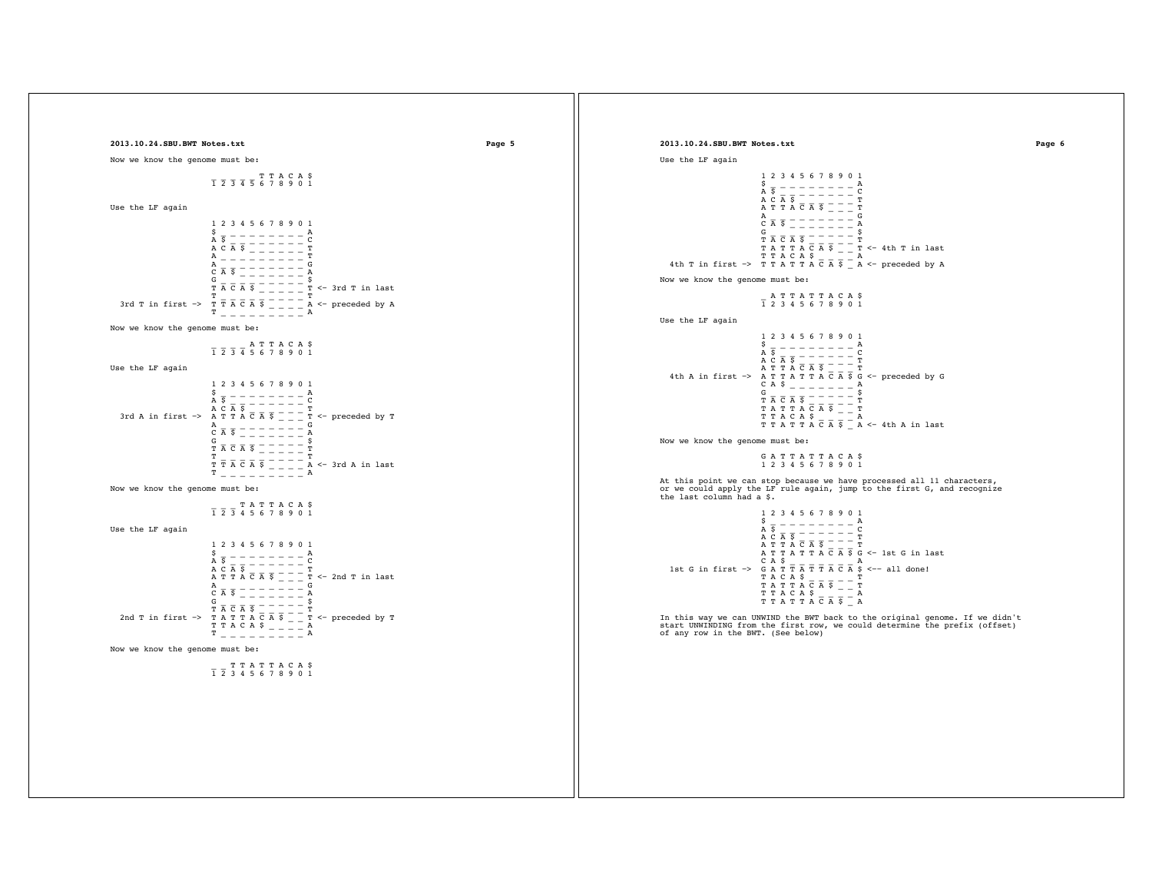```
2013.10.24.SBU.BWT Notes.txt Page 5
Now we know the genome must be:
   \begin{array}{cccccccccccccc} \overline{1} & \overline{2} & \overline{3} & \overline{4} & \overline{5} & \overline{6} & 7 & 8 & 9 & 0 & 1 \end{array}Use the LF again
                                                                         1 2 3 4 5 6 7 8 9 0 1
                                                                         \frac{5}{A} \frac{1}{S} - - - - - - - \frac{A}{C}A \overline{S} \overline{S} \overline{S} \overline{S} \overline{S} \overline{S} \overline{S} \overline{S} \overline{S} \overline{S} \overline{S} \overline{S} \overline{S} \overline{S} \overline{S} \overline{S} \overline{S} \overline{S} \overline{S} \overline{S} \overline{S} \overline{S} \overline{S} \overline{S} \over A _ _ _ _ _ _ _ _ _ T 
   \begin{array}{cccccccccc} & \overline{\text{A}} & \overline{\text{S}} & \overline{\text{C}} & \overline{\text{C}} & \overline{\text{A}} & \overline{\text{S}} & \overline{\text{C}} & \overline{\text{C}} & \overline{\text{C}} & \overline{\text{A}} & \overline{\text{S}} & \overline{\text{C}} & \overline{\text{C}} & \overline{\text{A}} & \overline{\text{S}} & \overline{\text{C}} & \overline{\text{C}} & \overline{\text{C}} & \overline{\text{C}} & \overline{\text{C}} & \overline{\text{C}} & \overline{\text{C}} & \overline{\text{C}} & \overline3rd T in first \Rightarrow \frac{T}{T} \frac{T}{A} \overline{C} \overline{A} \overline{S} \frac{T}{T} \frac{T}{T} \frac{T}{T} \frac{T}{T} \frac{T}{T} \frac{T}{T} \frac{T}{T} \frac{T}{T} \frac{T}{T} \frac{T}{T} \frac{T}{T} \frac{T}{T} \frac{T}{T} \frac{T}{T} \frac{T}{T} \frac{T}{T} \frac{T}{T} \fracNow we know the genome must be:
   \frac{1}{1} \frac{1}{2} \frac{1}{3} \frac{1}{4} \frac{1}{5} \frac{1}{6} \frac{1}{7} \frac{1}{8} \frac{1}{9} \frac{1}{0} \frac{1}{1}Use the LF again
                                                                         1 2 3 4 5 6 7 8 9 0 1
                                                                        \frac{5}{A} \frac{1}{S} - - - - - - - \frac{A}{C}A \overline{S} = \overline{S} = \overline{S} = \overline{S} = \overline{S} = \overline{S} = \overline{S}<br>3rd A in first -> A \overline{S} = \overline{S} = \overline{S} = \overline{S} = \overline{S} = \overline{S} = \overline{S} = \overline{S} = \overline{S} = \overline{S} = \overline{S} = \overline{S} = \overline{S} = \overline{S} = \overline{S} = \overline{S} = \overline{S} = \overline{S} = \overline{S} = \overline{S} = \overline{S} = \overA _{\rm C} _{\rm A} _{\rm S} _{\rm -} _{\rm -} _{\rm -} _{\rm -} _{\rm -} _{\rm -} _{\rm A}G _{\overline{T}} \overline{A} \overline{C} \overline{A} \overline{S} \overline{S} \overline{S} \overline{S} \overline{S} \overline{S} \overline{S} \overline{S} \overline{S} \overline{S} \overline{S} \overline{S} \overline{S} \overline{S} \overline{S} \overline{S} \overline{S} \overline{S} \overline{S} \overline{S} \overline{S} \overline{ST T \overline{A} \overline{C} \overline{A} \overline{S} \overline{S} \overline{S} \overline{S} \overline{S} \overline{S} \overline{S} \overline{S} \overline{S} \overline{S} \overline{S} \overline{S} \overline{S} \overline{S} \overline{S} \overline{S} \overline{S} \overline{S} \overline{S} \overline{S} \overline{S T _ _ _ _ _ _ _ _ _ A
Now we know the genome must be:
    _ _ _ T A T T A C A $
 1 2 3 4 5 6 7 8 9 0 1
Use the LF again
                                                                           1 2 3 4 5 6 7 8 9 0 1
                                                                         \frac{5}{A} \frac{1}{5} \frac{1}{2} \frac{1}{2} \frac{1}{2} \frac{1}{2} \frac{1}{2} \frac{1}{2} \frac{1}{2} \frac{1}{2} \frac{1}{2} \frac{1}{2} \frac{1}{2} \frac{1}{2} \frac{1}{2} \frac{1}{2} \frac{1}{2} \frac{1}{2} \frac{1}{2} \frac{1}{2} \frac{1}{2} \frac{1}{2} A \frac{5}{8} - \frac{1}{8} - \frac{3}{8} - \frac{3}{8} - \frac{1}{8} - \frac{1}{8} - \frac{1}{8}<br>
A T T A \overline{C} A \overline{S} \overline{S} \overline{S} \overline{S} \overline{S} \overline{S} \overline{S} \overline{S} \overline{S} \overline{S} \overline{S} \overline{S} \overline{S} \overline{S} \overline{S} \overline{S\begin{array}{c} \mathbf{A} \\ \mathbf{C} \end{array} \hspace{0.2cm} \overline{\mathbf{A}} \hspace{0.2cm} \overline{\mathbf{S}} \hspace{0.2cm} \overline{\phantom{S}} \hspace{0.2cm} \overline{\phantom{S}} \hspace{0.2cm} \overline{\phantom{S}} \hspace{0.2cm} \overline{\phantom{S}} \hspace{0.2cm} \overline{\phantom{S}} \hspace{0.2cm} \overline{\phantom{S}} \hspace{0.2cm} \overline{\phantom{S}} \hspace{0.2cm} \overline{\phantom{S}} \hspace{0.2cm} \overline{\phantom C A $ _ _ _ _ _ _ _ A 
 G _ _ _ _ _ _ _ _ _ $
 T A C A $ _ _ _ _ _ T 
 2nd T in first −> T A T T A C A $ _ _ T <− preceded by T
 T T A C A $ _ _ _ _ A 
                                                                        T T A C A \circ _ _ _ _ _ A<br>T _ _ _ _ _ _ _ _ _ A
Now we know the genome must be:
                                                                                       T T A T T A C A $
                                                                         1 2 3 4 5 6 7 8 9 0 1
                                                                                                                                                                                                                                                                                                                                                                                                                   2013.10.24.SBU.BWT Notes.txt Page 6
                                                                                                                                                                                                                                                                                                                                                                                                                   Use the LF again
                                                                                                                                                                                                                                                                                                                                                                                                                                                                                             1 2 3 4 5 6 7 8 9 0 1
                                                                                                                                                                                                                                                                                                                                                                                                                                                                                            \frac{5}{A} \frac{1}{5} - - - - - - - \frac{A}{C}\begin{array}{c} \text{A} \ \text{S} \\ \text{A} \ \text{C} \\ \text{A} \ \text{T} \ \text{T} \ \text{A} \ \text{\overline{C}} \ \overline{\text{A}} \ \text{\overline{S}} \end{array} \begin{array}{c} \text{A} \\ \text{C} \\ \text{A} \ \text{T} \end{array} \begin{array}{c} \text{C} \\ \text{A} \ \text{T} \end{array}\overline{A} \overline{B} \overline{C} \overline{C} \overline{A} \overline{S} \overline{C} \overline{C} \overline{C} \overline{C} \overline{C} \overline{C} \overline{C} \overline{C} \overline{C} \overline{C} \overline{C} \overline{C} \overline{C} \overline{C} \overline{C} \overline{C} \overline{C} \overline{C} \overline{ G _ _ _ _ _ _ _ _ _ $
 T A C A $ _ _ _ _ _ T 
 T A T T A C A $ _ _ T <− 4th T in last 
 T T A C A $ _ _ _ _ A 
 4th T in first −> T T A T T A C A $ _ A <− preceded by A
                                                                                                                                                                                                                                                                                                                                                                                                                   Now we know the genome must be:
                                                                                                                                                                                                                                                                                                                                                                                                                       _ A T T A T T A C A $
 1 2 3 4 5 6 7 8 9 0 1
                                                                                                                                                                                                                                                                                                                                                                                                                   Use the LF again
                                                                                                                                                                                                                                                                                                                                                                                                                                                                                             1 2 3 4 5 6 7 8 9 0 1
                                                                                                                                                                                                                                                                                                                                                                                                                                                                                            \frac{5}{A} \frac{1}{5} - - - - - - - \frac{A}{C}A \overline{S} \overline{A} \overline{S} \overline{A} \overline{S} \overline{A} \overline{S} \overline{A} \overline{S} \overline{C} \overline{A} \overline{S} \overline{C} \overline{A} \overline{S} \overline{G} \overline{C} \overline{C} \overline{C} \overline{C} \overline{C} \overline{C} \overline{C} \overline{C} \overlineG A $ - - - - - - - \frac{A}{S}\frac{6}{T} \frac{1}{A} \frac{1}{C} \frac{1}{A} \frac{1}{S} \frac{1}{S} \frac{1}{S} \frac{1}{T} \frac{1}{T} \frac{1}{S}\begin{array}{l} \hbox{\tt\footnotesize{T} } \overline{\texttt{A}} \ \overline{\texttt{C}} \ \overline{\texttt{A}} \ \overline{\texttt{S}} \ \overline{\texttt{C}} \ \overline{\texttt{A}} \ \overline{\texttt{S}} \ \overline{\texttt{C}} \ \overline{\texttt{A}} \ \overline{\texttt{S}} \ \overline{\texttt{C}} \ \overline{\texttt{A}} \ \overline{\texttt{S}} \ \overline{\texttt{C}} \ \overline{\texttt{A}} \ \overline{\texttt{S}} \ \overline{\texttt{C}} \ \overline{\texttt{A}} \ \overline{\texttt{S}} \ \overline{\texttt{C}} \ \Now we know the genome must be:
                                                                                                                                                                                                                                                                                                                                                                                                                       G A T T A T T A C A $
 1 2 3 4 5 6 7 8 9 0 1
                                                                                                                                                                                                                                                                                                                                                                                                                      At this point we can stop because we have processed all 11 characters,
or we could apply the LF rule again, jump to the first G, and recognize
                                                                                                                                                                                                                                                                                                                                                                                                                   the last column had a $.
                                                                                                                                                                                                                                                                                                                                                                                                                                                                                               1 2 3 4 5 6 7 8 9 0 1
                                                                                                                                                                                                                                                                                                                                                                                                                                                                                            \frac{5}{A} \frac{1}{5} - - - - - - - \frac{A}{C}\begin{array}{c} \texttt{A} \ \overline{\texttt{S}} \ \overline{\texttt{A}} \ \overline{\texttt{S}} \ \overline{\texttt{A}} \ \overline{\texttt{S}} \ \overline{\texttt{A}} \ \overline{\texttt{S}} \ \overline{\texttt{A}} \ \overline{\texttt{S}} \ \overline{\texttt{A}} \ \overline{\texttt{S}} \ \overline{\texttt{A}} \ \overline{\texttt{S}} \ \overline{\texttt{A}} \ \overline{\texttt{S}} \ \overline{\texttt{A}} \ \overline{\texttt{S}} \ \overline{\texttt{A}} \ \overline{\texttt{S}} \ \overline{\texttt{A}} \ \overline{\textttA T T A T T A \overline{C} A \overline{S} G \lt - 1st G in last<br>
1st G in first -> G A \overline{S} \overline{T} \overline{T} \overline{T} \overline{A} \overline{C} A \overline{S} \lt-- all done!<br>
T A T \overline{C} A \overline{S} \overline{C} \overline{T} \overline{T} \overline{T} \ T T A T T A C A $ _ A 
                                                                                                                                                                                                                                                                                                                                                                                                                   In this way we can UNWIND the BWT back to the original genome. If we didn't 
                                                                                                                                                                                                                                                                                                                                                                                                                      start UNWINDING from the first row, we could determine the prefix (offset)
of any row in the BWT. (See below)
```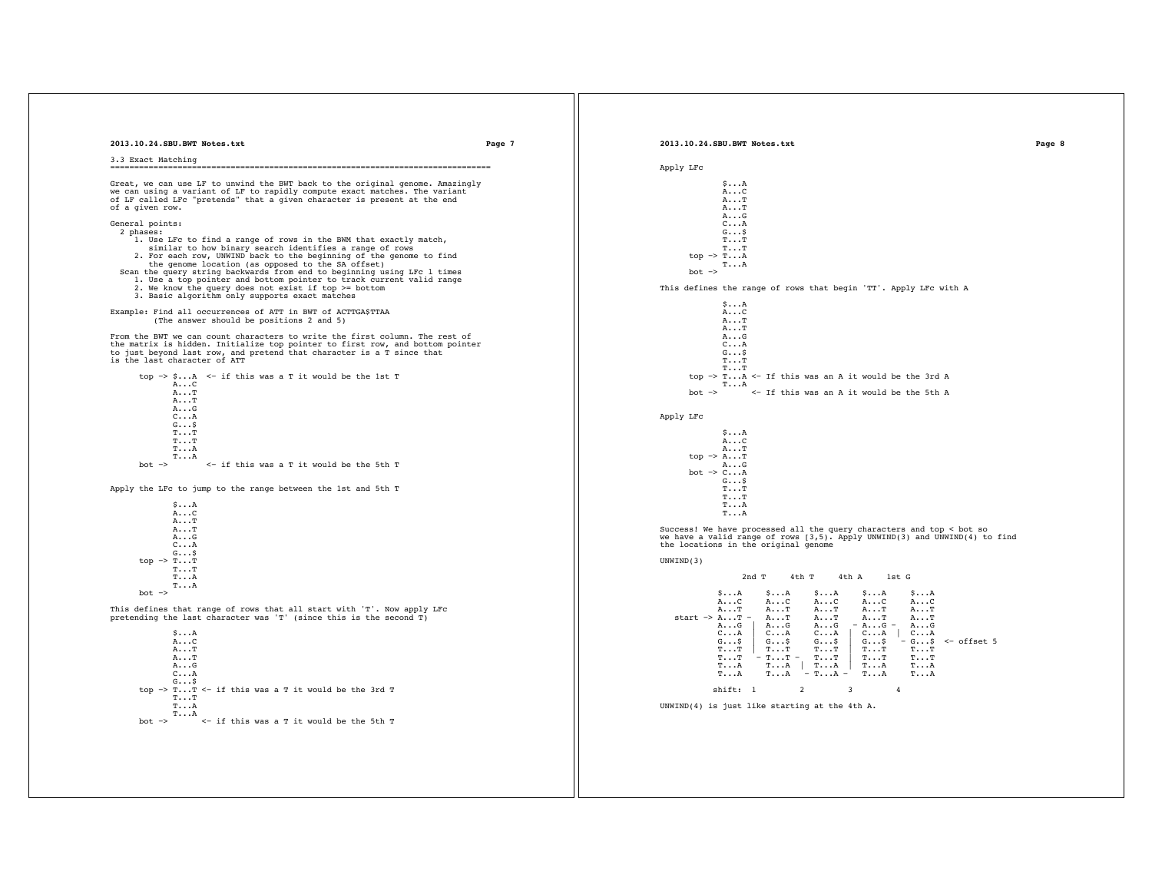| 2013.10.24.SBU.BWT Notes.txt                                                                                                                    | 2013.10.24.SBU.BWT Notes.txt<br>Page 7<br>Page 8                                                                                                                                                                                       |
|-------------------------------------------------------------------------------------------------------------------------------------------------|----------------------------------------------------------------------------------------------------------------------------------------------------------------------------------------------------------------------------------------|
| 3.3 Exact Matching                                                                                                                              |                                                                                                                                                                                                                                        |
|                                                                                                                                                 | Apply LFC                                                                                                                                                                                                                              |
| Great, we can use LF to unwind the BWT back to the original genome. Amazingly                                                                   | $\mathsf{S}\cdot\cdot\cdot\mathsf{A}$                                                                                                                                                                                                  |
| we can using a variant of LF to rapidly compute exact matches. The variant                                                                      | $A \ldots C$                                                                                                                                                                                                                           |
| of LF called LFc "pretends" that a given character is present at the end<br>of a given row.                                                     | $A \cdot \cdot \cdot T$<br>$A \cdot \cdot \cdot T$                                                                                                                                                                                     |
|                                                                                                                                                 | AG                                                                                                                                                                                                                                     |
| General points:<br>2 phases:                                                                                                                    | $C \ldots A$<br>$G \ldots$ \$                                                                                                                                                                                                          |
| 1. Use LFc to find a range of rows in the BWM that exactly match,                                                                               | $T \ldots T$                                                                                                                                                                                                                           |
| similar to how binary search identifies a range of rows<br>2. For each row, UNWIND back to the beginning of the genome to find                  | $T \ldots T$<br>top $\rightarrow$ TA                                                                                                                                                                                                   |
| the genome location (as opposed to the SA offset)                                                                                               | $T \cdot \cdot \cdot A$                                                                                                                                                                                                                |
| Scan the query string backwards from end to beginning using LFc 1 times<br>1. Use a top pointer and bottom pointer to track current valid range | $bot \rightarrow$                                                                                                                                                                                                                      |
| 2. We know the query does not exist if top >= bottom                                                                                            | This defines the range of rows that begin 'TT'. Apply LFc with A                                                                                                                                                                       |
| 3. Basic algorithm only supports exact matches                                                                                                  |                                                                                                                                                                                                                                        |
| Example: Find all occurrences of ATT in BWT of ACTTGA\$TTAA                                                                                     | $\mathsf{S}\cdot\cdot\cdot\mathsf{A}$<br>$A \ldots C$                                                                                                                                                                                  |
| (The answer should be positions 2 and 5)                                                                                                        | $A \cdot \cdot \cdot T$                                                                                                                                                                                                                |
| From the BWT we can count characters to write the first column. The rest of                                                                     | $A \cdot \cdot \cdot T$<br>AG                                                                                                                                                                                                          |
| the matrix is hidden. Initialize top pointer to first row, and bottom pointer                                                                   | $C \ldots A$                                                                                                                                                                                                                           |
| to just beyond last row, and pretend that character is a T since that<br>is the last character of ATT                                           | $G \ldots$ \$<br>$T \cdot \cdot \cdot T$                                                                                                                                                                                               |
|                                                                                                                                                 | $T \cdot \cdot \cdot T$                                                                                                                                                                                                                |
| top -> $\SA$ <- if this was a T it would be the 1st T<br>AC                                                                                     | top $\rightarrow$ TA $\leq$ If this was an A it would be the 3rd A<br>T. A                                                                                                                                                             |
| $A \cdot \cdot \cdot T$                                                                                                                         | <- If this was an A it would be the 5th A<br>$bot$ $\rightarrow$                                                                                                                                                                       |
| $A \ldots T$<br>AG                                                                                                                              |                                                                                                                                                                                                                                        |
| $C \cdot \cdot \cdot A$                                                                                                                         | Apply LFC                                                                                                                                                                                                                              |
| $G \ldots$ \$<br>$T \ldots T$                                                                                                                   | $S \ldots A$                                                                                                                                                                                                                           |
| $T \ldots T$                                                                                                                                    | AC                                                                                                                                                                                                                                     |
| $T \ldots A$                                                                                                                                    | $A \cdot \cdot \cdot T$                                                                                                                                                                                                                |
| $T \ldots A$<br>$bot \rightarrow$<br><- if this was a T it would be the 5th T                                                                   | top $\rightarrow$ A T<br>AG                                                                                                                                                                                                            |
|                                                                                                                                                 | bot $\rightarrow$ CA                                                                                                                                                                                                                   |
| Apply the LFc to jump to the range between the 1st and 5th T                                                                                    | $G \ldots$ \$<br>$T \ldots T$                                                                                                                                                                                                          |
|                                                                                                                                                 | $T \ldots T$                                                                                                                                                                                                                           |
| SA<br>AC                                                                                                                                        | $T \ldots A$<br>$T \cdot \cdot \cdot A$                                                                                                                                                                                                |
| $A \cdot \cdot \cdot T$                                                                                                                         |                                                                                                                                                                                                                                        |
| $A \cdot \cdot \cdot T$<br>AG                                                                                                                   | Success! We have processed all the query characters and top < bot so<br>we have a valid range of rows [3,5]. Apply UNWIND(3) and UNWIND(4) to find                                                                                     |
| $C \ldots A$                                                                                                                                    | the locations in the original genome                                                                                                                                                                                                   |
| GS<br>top $\rightarrow$ T T                                                                                                                     | UNWIND(3)                                                                                                                                                                                                                              |
| $T \ldots T$                                                                                                                                    |                                                                                                                                                                                                                                        |
| $T \ldots A$<br>$T \ldots A$                                                                                                                    | $2nd$ $T$<br>4th T<br>4th A<br>1st G                                                                                                                                                                                                   |
| $bot \rightarrow$                                                                                                                               | $\mathsf{S}\cdot\cdot\cdot\mathsf{A}$<br>$\mathsf{S}\cdot\cdot\cdot\mathsf{A}$<br>\$A<br>$\mathsf{S}\cdot\cdot\cdot\mathsf{A}$<br><b>SA</b>                                                                                            |
| This defines that range of rows that all start with 'T'. Now apply LFc                                                                          | $A \ldots C$<br>AC<br>AC<br>AC<br>AC<br>A. T<br>AT<br>AT<br>A. T<br>$A \cdot \cdot \cdot T$                                                                                                                                            |
| pretending the last character was $T'$ (since this is the second $T$ )                                                                          | start $\rightarrow$ A T -<br>$A \cdot \cdot \cdot T$<br>$A \cdot \cdot \cdot T$<br>$A \cdot \cdot \cdot T$<br>$A \cdot \cdot \cdot T$                                                                                                  |
|                                                                                                                                                 | $- A \ldots G -$<br>$A \cdot \cdot \cdot G$<br>AG<br>AG<br>AG                                                                                                                                                                          |
| $S \ldots A$<br>AC                                                                                                                              | $\begin{array}{c} \circ \\ \circ \\ \circ \end{array}$<br>$C \cdot \cdot \cdot A$<br>$C \ldots A$<br>$C \cdot \cdot \cdot A$<br>$C \ldots A$<br>$-G$ \$ <- offset 5<br>$G \ldots$ \$<br>$G \ldots S$<br>$G \ldots$ \$<br>$G \ldots$ \$ |
| $A \cdot \cdot \cdot T$                                                                                                                         | $T \cdot \cdot \cdot T$<br>$T \cdot \cdot \cdot T$<br>$T \cdot \cdot \cdot T$<br>$T \cdot \cdot \cdot T$<br>$T \cdot \cdot \cdot T$                                                                                                    |
| $A \ldots T$<br>AG                                                                                                                              | $-$ TT $-$<br>$T \ldots T$<br>$T \cdot \cdot \cdot T$<br><b>TT</b><br>$T \ldots T$<br>$TA$ $TA$<br>$T \cdot \cdot \cdot A$<br>$T \cdot \cdot \cdot A$<br>$T \cdot \cdot \cdot A$                                                       |
| $C \ldots A$                                                                                                                                    | $T \cdot \cdot \cdot A$<br>$T \cdot \cdot \cdot A$<br>$-$ TA $-$<br>$T \cdot \cdot \cdot A$<br>$T \cdot \cdot \cdot A$                                                                                                                 |
| $G \ldots$ \$<br>top $\rightarrow$ T T <- if this was a T it would be the 3rd T                                                                 | shift: 1<br>$\overline{2}$<br>$\overline{\mathbf{3}}$<br>$\overline{4}$                                                                                                                                                                |
| $T \cdot \cdot \cdot T$                                                                                                                         |                                                                                                                                                                                                                                        |
| $T \ldots A$<br>$T \ldots A$                                                                                                                    | UNWIND(4) is just like starting at the 4th A.                                                                                                                                                                                          |
| <- if this was a T it would be the 5th T<br>$hot.$ $\rightarrow$                                                                                |                                                                                                                                                                                                                                        |
|                                                                                                                                                 |                                                                                                                                                                                                                                        |